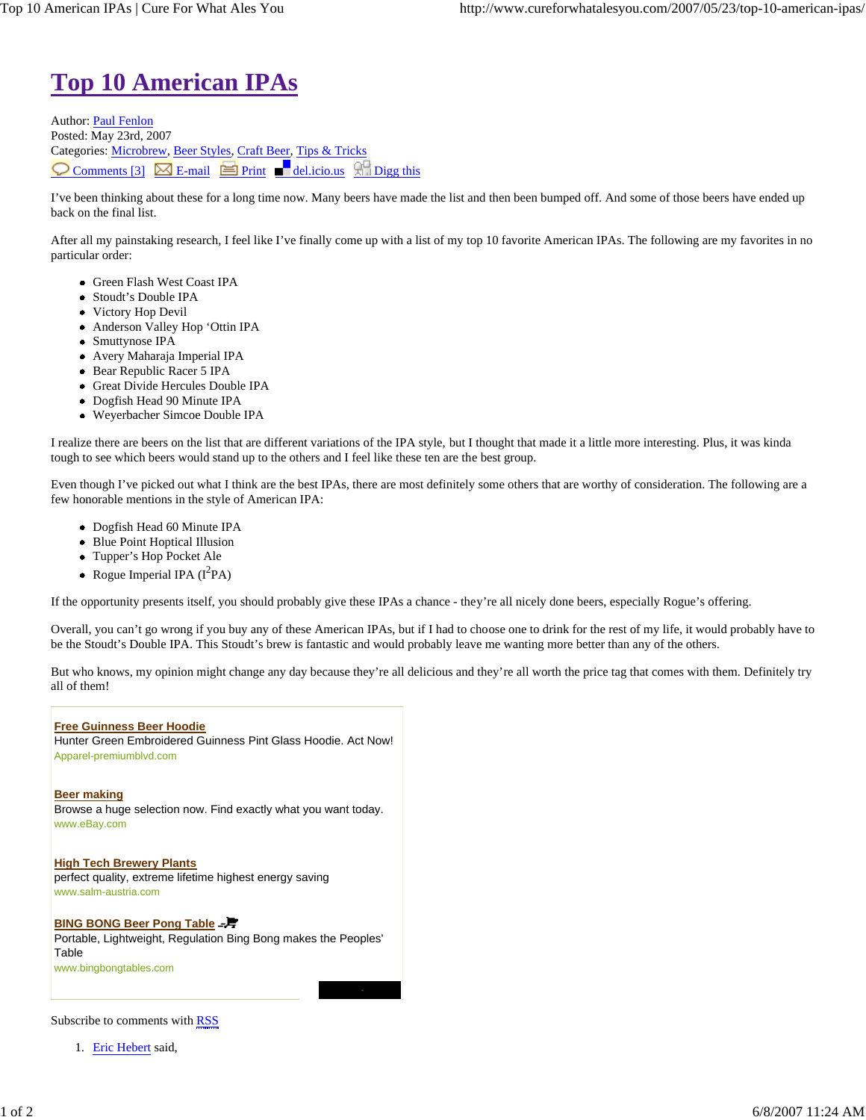## **Top 10 American IPAs**

Author: Paul Fenlon Posted: May 23rd, 2007 Categories: Microbrew, Beer Styles, Craft Beer, Tips & Tricks  $\bigcirc$  Comments [3]  $\boxtimes$  E-mail  $\bigcirc$  Print del.icio.us  $\bigcirc$  Digg this

I've been thinking about these for a long time now. Many beers have made the list and then been bumped off. And some of those beers have ended up back on the final list.

After all my painstaking research, I feel like I've finally come up with a list of my top 10 favorite American IPAs. The following are my favorites in no particular order:

- Green Flash West Coast IPA
- Stoudt's Double IPA
- Victory Hop Devil
- Anderson Valley Hop 'Ottin IPA
- Smuttynose IPA
- Avery Maharaja Imperial IPA
- Bear Republic Racer 5 IPA
- Great Divide Hercules Double IPA
- Dogfish Head 90 Minute IPA
- Weyerbacher Simcoe Double IPA

I realize there are beers on the list that are different variations of the IPA style, but I thought that made it a little more interesting. Plus, it was kinda tough to see which beers would stand up to the others and I feel like these ten are the best group.

Even though I've picked out what I think are the best IPAs, there are most definitely some others that are worthy of consideration. The following are a few honorable mentions in the style of American IPA:

- Dogfish Head 60 Minute IPA
- Blue Point Hoptical Illusion
- Tupper's Hop Pocket Ale
- Rogue Imperial IPA  $(I^2PA)$

If the opportunity presents itself, you should probably give these IPAs a chance - they're all nicely done beers, especially Rogue's offering.

Overall, you can't go wrong if you buy any of these American IPAs, but if I had to choose one to drink for the rest of my life, it would probably have to be the Stoudt's Double IPA. This Stoudt's brew is fantastic and would probably leave me wanting more better than any of the others.

But who knows, my opinion might change any day because they're all delicious and they're all worth the price tag that comes with them. Definitely try all of them!

## **Free Guinness Beer Hoodie**

Hunter Green Embroidered Guinness Pint Glass Hoodie. Act Now! Apparel-premiumblvd.com

**Beer making** Browse a huge selection now. Find exactly what you want today. www.eBay.com

**High Tech Brewery Plants** perfect quality, extreme lifetime highest energy saving www.salm-austria.com

## **BING BONG Beer Pong Table =- 子**

Portable, Lightweight, Regulation Bing Bong makes the Peoples' Table www.bingbongtables.com

Subscribe to comments with RSS

1. Eric Hebert said,